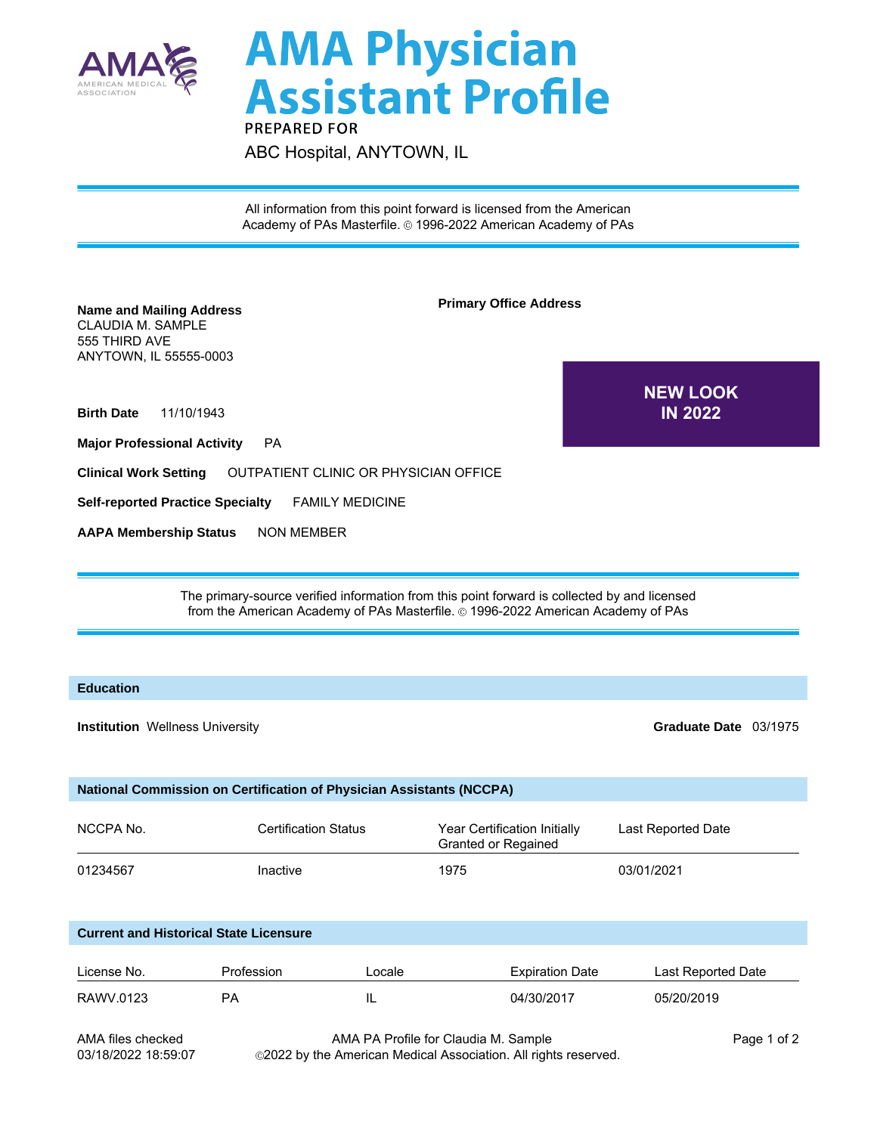

## **AMA Physician<br>Assistant Profile PREPARED FOR**

ABC Hospital, ANYTOWN, IL

All information from this point forward is licensed from the American Academy of PAs Masterfile. © 1996-2022 American Academy of PAs

| <b>Name and Mailing Address</b><br><b>CLAUDIA M. SAMPLE</b><br>555 THIRD AVE<br>ANYTOWN, IL 55555-0003                                                                                               | <b>Primary Office Address</b>         |                                                            |                                   |  |  |  |  |
|------------------------------------------------------------------------------------------------------------------------------------------------------------------------------------------------------|---------------------------------------|------------------------------------------------------------|-----------------------------------|--|--|--|--|
| 11/10/1943<br><b>Birth Date</b><br><b>Major Professional Activity</b>                                                                                                                                | <b>PA</b>                             |                                                            | <b>NEW LOOK</b><br><b>IN 2022</b> |  |  |  |  |
| <b>Clinical Work Setting</b>                                                                                                                                                                         | OUTPATIENT CLINIC OR PHYSICIAN OFFICE |                                                            |                                   |  |  |  |  |
| <b>Self-reported Practice Specialty</b><br><b>FAMILY MEDICINE</b>                                                                                                                                    |                                       |                                                            |                                   |  |  |  |  |
| <b>AAPA Membership Status</b><br><b>NON MEMBER</b>                                                                                                                                                   |                                       |                                                            |                                   |  |  |  |  |
|                                                                                                                                                                                                      |                                       |                                                            |                                   |  |  |  |  |
| The primary-source verified information from this point forward is collected by and licensed<br>from the American Academy of PAs Masterfile. @ 1996-2022 American Academy of PAs<br><b>Education</b> |                                       |                                                            |                                   |  |  |  |  |
| <b>Institution Wellness University</b>                                                                                                                                                               |                                       |                                                            | Graduate Date 03/1975             |  |  |  |  |
| National Commission on Certification of Physician Assistants (NCCPA)                                                                                                                                 |                                       |                                                            |                                   |  |  |  |  |
| NCCPA No.                                                                                                                                                                                            | <b>Certification Status</b>           | Year Certification Initially<br><b>Granted or Regained</b> | Last Reported Date                |  |  |  |  |
| 01234567                                                                                                                                                                                             | Inactive                              | 1975                                                       | 03/01/2021                        |  |  |  |  |
| <b>Current and Historical State Licensure</b>                                                                                                                                                        |                                       |                                                            |                                   |  |  |  |  |

| License No. | Profession | Locale | <b>Expiration Date</b> | Last Reported Date |
|-------------|------------|--------|------------------------|--------------------|
| RAWV.0123   | ΡA         | ௩      | 04/30/2017             | 05/20/2019         |

AMA files checked 03/18/2022 18:59:07

AMA PA Profile for Claudia M. Sample 2022 by the American Medical Association. All rights reserved.